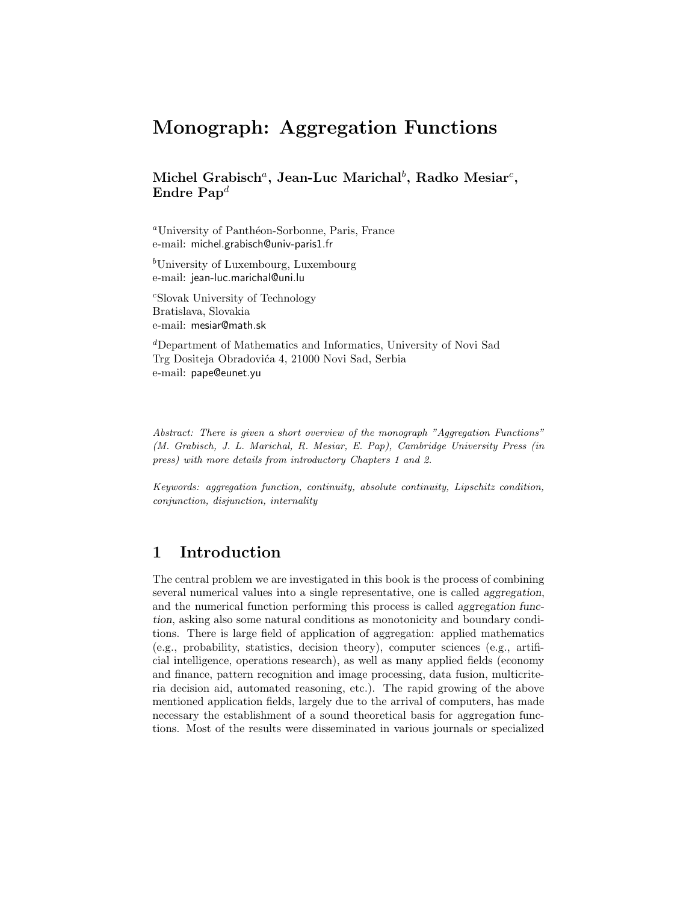# **Monograph: Aggregation Functions**

# **Michel Grabisch***<sup>a</sup>***, Jean-Luc Marichal***<sup>b</sup>* **, Radko Mesiar***<sup>c</sup>* **, Endre Pap***<sup>d</sup>*

 $^a$ University of Panthéon-Sorbonne, Paris, France e-mail: michel.grabisch@univ-paris1.fr

<sup>b</sup>University of Luxembourg, Luxembourg e-mail: jean-luc.marichal@uni.lu

<sup>c</sup>Slovak University of Technology Bratislava, Slovakia e-mail: mesiar@math.sk

<sup>d</sup>Department of Mathematics and Informatics, University of Novi Sad Trg Dositeja Obradovića 4, 21000 Novi Sad, Serbia e-mail: pape@eunet.yu

*Abstract: There is given a short overview of the monograph "Aggregation Functions" (M. Grabisch, J. L. Marichal, R. Mesiar, E. Pap), Cambridge University Press (in press) with more details from introductory Chapters 1 and 2.*

*Keywords: aggregation function, continuity, absolute continuity, Lipschitz condition, conjunction, disjunction, internality*

# **1 Introduction**

The central problem we are investigated in this book is the process of combining several numerical values into a single representative, one is called *aggregation*, and the numerical function performing this process is called *aggregation function*, asking also some natural conditions as monotonicity and boundary conditions. There is large field of application of aggregation: applied mathematics (e.g., probability, statistics, decision theory), computer sciences (e.g., artificial intelligence, operations research), as well as many applied fields (economy and finance, pattern recognition and image processing, data fusion, multicriteria decision aid, automated reasoning, etc.). The rapid growing of the above mentioned application fields, largely due to the arrival of computers, has made necessary the establishment of a sound theoretical basis for aggregation functions. Most of the results were disseminated in various journals or specialized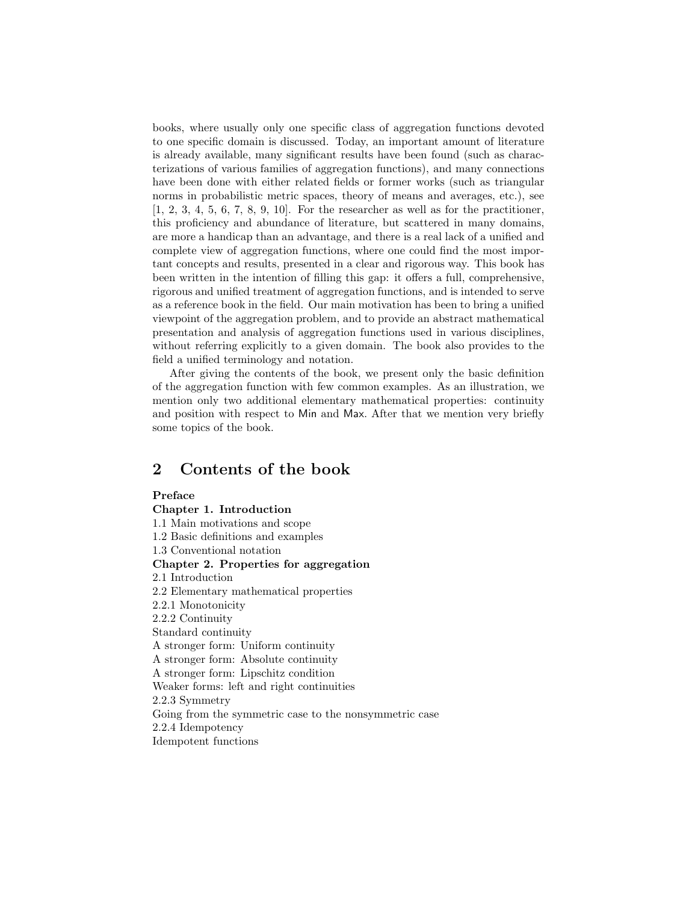books, where usually only one specific class of aggregation functions devoted to one specific domain is discussed. Today, an important amount of literature is already available, many significant results have been found (such as characterizations of various families of aggregation functions), and many connections have been done with either related fields or former works (such as triangular norms in probabilistic metric spaces, theory of means and averages, etc.), see [1, 2, 3, 4, 5, 6, 7, 8, 9, 10]. For the researcher as well as for the practitioner, this proficiency and abundance of literature, but scattered in many domains, are more a handicap than an advantage, and there is a real lack of a unified and complete view of aggregation functions, where one could find the most important concepts and results, presented in a clear and rigorous way. This book has been written in the intention of filling this gap: it offers a full, comprehensive, rigorous and unified treatment of aggregation functions, and is intended to serve as a reference book in the field. Our main motivation has been to bring a unified viewpoint of the aggregation problem, and to provide an abstract mathematical presentation and analysis of aggregation functions used in various disciplines, without referring explicitly to a given domain. The book also provides to the field a unified terminology and notation.

After giving the contents of the book, we present only the basic definition of the aggregation function with few common examples. As an illustration, we mention only two additional elementary mathematical properties: continuity and position with respect to Min and Max. After that we mention very briefly some topics of the book.

**2 Contents of the book Preface Chapter 1. Introduction** 1.1 Main motivations and scope 1.2 Basic definitions and examples 1.3 Conventional notation **Chapter 2. Properties for aggregation** 2.1 Introduction 2.2 Elementary mathematical properties 2.2.1 Monotonicity 2.2.2 Continuity Standard continuity A stronger form: Uniform continuity A stronger form: Absolute continuity A stronger form: Lipschitz condition Weaker forms: left and right continuities 2.2.3 Symmetry Going from the symmetric case to the nonsymmetric case 2.2.4 Idempotency Idempotent functions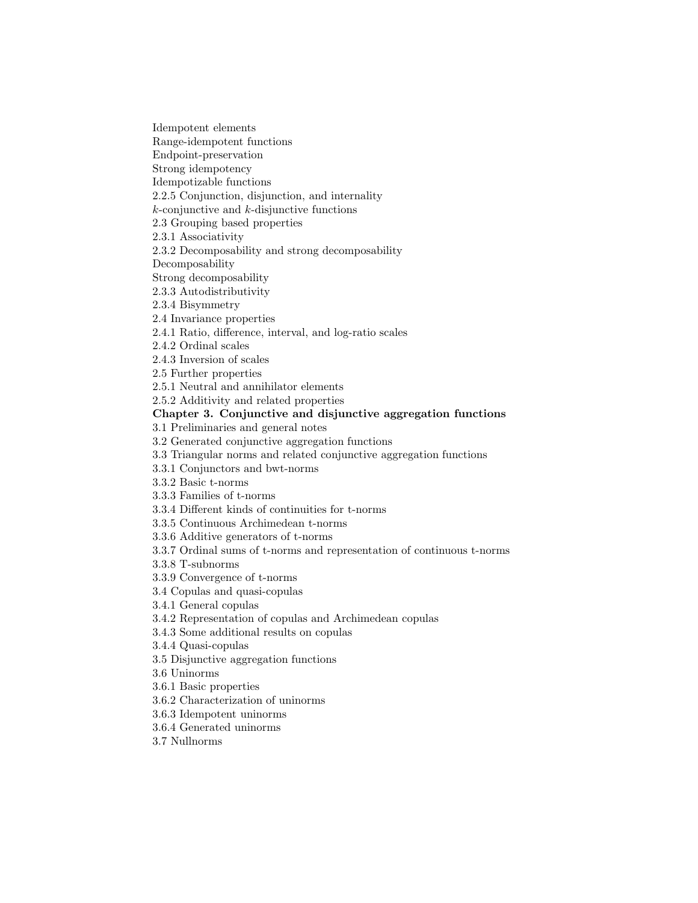Idempotent elements

Range-idempotent functions

Endpoint-preservation Strong idempotency

Idempotizable functions

2.2.5 Conjunction, disjunction, and internality

 $k$ -conjunctive and  $k$ -disjunctive functions

2.3 Grouping based properties

2.3.1 Associativity

2.3.2 Decomposability and strong decomposability

Decomposability

Strong decomposability

2.3.3 Autodistributivity

2.3.4 Bisymmetry

2.4 Invariance properties

2.4.1 Ratio, difference, interval, and log-ratio scales

2.4.2 Ordinal scales

2.4.3 Inversion of scales

2.5 Further properties

2.5.1 Neutral and annihilator elements

2.5.2 Additivity and related properties

### **Chapter 3. Conjunctive and disjunctive aggregation functions**

3.1 Preliminaries and general notes

3.2 Generated conjunctive aggregation functions

3.3 Triangular norms and related conjunctive aggregation functions

3.3.1 Conjunctors and bwt-norms

3.3.2 Basic t-norms

3.3.3 Families of t-norms

3.3.4 Different kinds of continuities for t-norms

3.3.5 Continuous Archimedean t-norms

3.3.6 Additive generators of t-norms

3.3.7 Ordinal sums of t-norms and representation of continuous t-norms

3.3.8 T-subnorms

3.3.9 Convergence of t-norms

3.4 Copulas and quasi-copulas

3.4.1 General copulas

3.4.2 Representation of copulas and Archimedean copulas

3.4.3 Some additional results on copulas

3.4.4 Quasi-copulas

3.5 Disjunctive aggregation functions

3.6 Uninorms

3.6.1 Basic properties

3.6.2 Characterization of uninorms

3.6.3 Idempotent uninorms

3.6.4 Generated uninorms

3.7 Nullnorms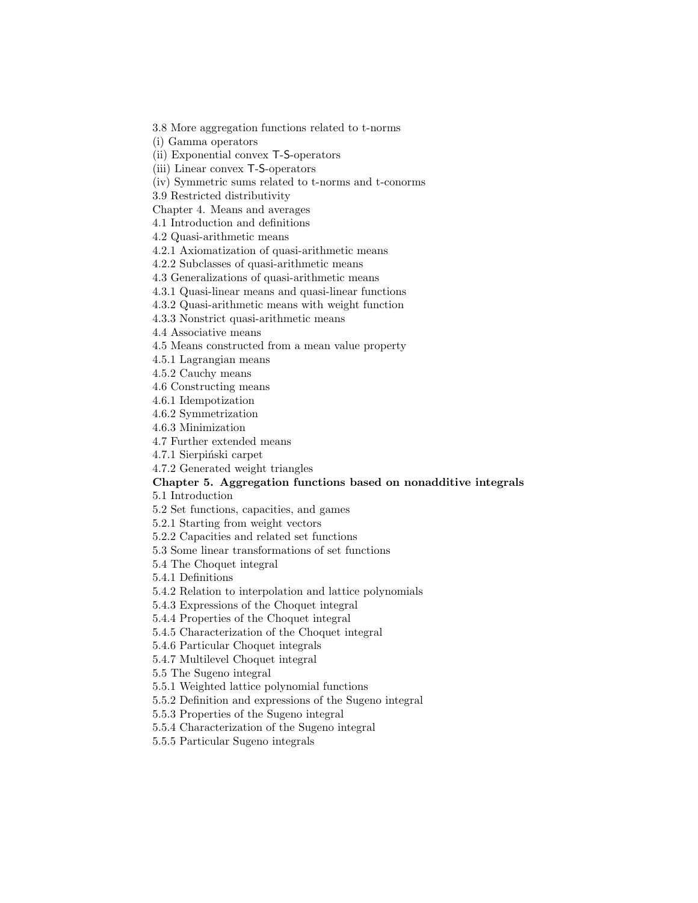3.8 More aggregation functions related to t-norms

(i) Gamma operators

(ii) Exponential convex T-S-operators

(iii) Linear convex T-S-operators

(iv) Symmetric sums related to t-norms and t-conorms

3.9 Restricted distributivity

Chapter 4. Means and averages

4.1 Introduction and definitions

4.2 Quasi-arithmetic means

4.2.1 Axiomatization of quasi-arithmetic means

4.2.2 Subclasses of quasi-arithmetic means

4.3 Generalizations of quasi-arithmetic means

4.3.1 Quasi-linear means and quasi-linear functions

4.3.2 Quasi-arithmetic means with weight function

4.3.3 Nonstrict quasi-arithmetic means

4.4 Associative means

4.5 Means constructed from a mean value property

4.5.1 Lagrangian means

4.5.2 Cauchy means

4.6 Constructing means

4.6.1 Idempotization

4.6.2 Symmetrization

4.6.3 Minimization

4.7 Further extended means

4.7.1 Sierpiński carpet

4.7.2 Generated weight triangles

#### **Chapter 5. Aggregation functions based on nonadditive integrals**

5.1 Introduction

5.2 Set functions, capacities, and games

5.2.1 Starting from weight vectors

5.2.2 Capacities and related set functions

5.3 Some linear transformations of set functions

5.4 The Choquet integral

5.4.1 Definitions

5.4.2 Relation to interpolation and lattice polynomials

5.4.3 Expressions of the Choquet integral

5.4.4 Properties of the Choquet integral

5.4.5 Characterization of the Choquet integral

5.4.6 Particular Choquet integrals

5.4.7 Multilevel Choquet integral

5.5 The Sugeno integral

5.5.1 Weighted lattice polynomial functions

5.5.2 Definition and expressions of the Sugeno integral

5.5.3 Properties of the Sugeno integral

5.5.4 Characterization of the Sugeno integral

5.5.5 Particular Sugeno integrals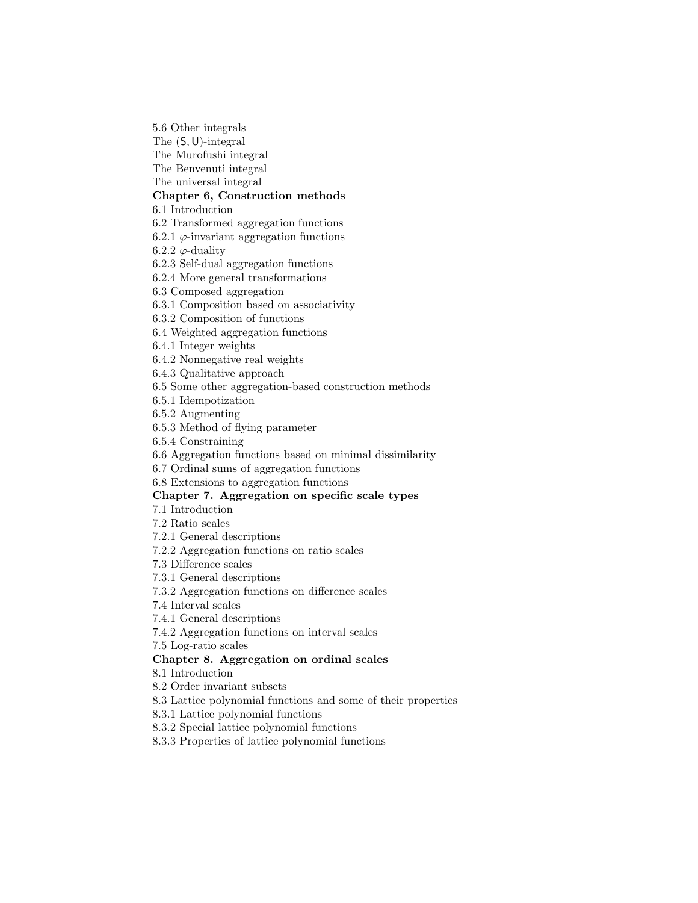5.6 Other integrals

The (S,U)-integral

The Murofushi integral

The Benvenuti integral

The universal integral

### **Chapter 6, Construction methods**

6.1 Introduction

6.2 Transformed aggregation functions

6.2.1  $\varphi$ -invariant aggregation functions

6.2.2  $\varphi$ -duality

6.2.3 Self-dual aggregation functions

6.2.4 More general transformations

6.3 Composed aggregation

6.3.1 Composition based on associativity

6.3.2 Composition of functions

6.4 Weighted aggregation functions

6.4.1 Integer weights

6.4.2 Nonnegative real weights

6.4.3 Qualitative approach

6.5 Some other aggregation-based construction methods

6.5.1 Idempotization

6.5.2 Augmenting

6.5.3 Method of flying parameter

6.5.4 Constraining

6.6 Aggregation functions based on minimal dissimilarity

6.7 Ordinal sums of aggregation functions

6.8 Extensions to aggregation functions

### **Chapter 7. Aggregation on specific scale types**

7.1 Introduction

7.2 Ratio scales

7.2.1 General descriptions

7.2.2 Aggregation functions on ratio scales

7.3 Difference scales

7.3.1 General descriptions

7.3.2 Aggregation functions on difference scales

7.4 Interval scales

7.4.1 General descriptions

7.4.2 Aggregation functions on interval scales

7.5 Log-ratio scales

### **Chapter 8. Aggregation on ordinal scales**

8.1 Introduction

8.2 Order invariant subsets

8.3 Lattice polynomial functions and some of their properties

8.3.1 Lattice polynomial functions

8.3.2 Special lattice polynomial functions

8.3.3 Properties of lattice polynomial functions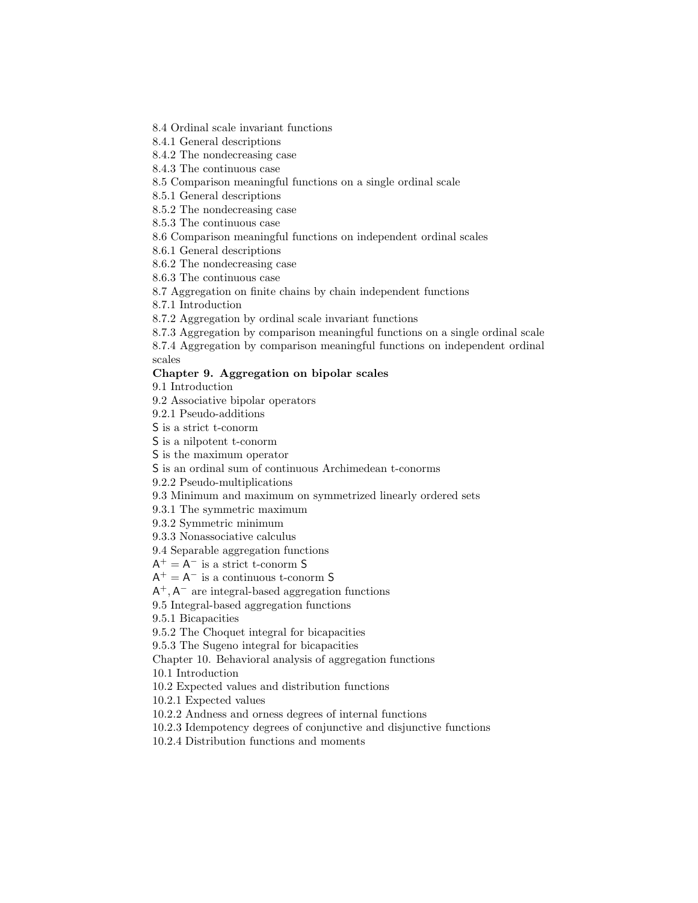8.4 Ordinal scale invariant functions

8.4.1 General descriptions

8.4.2 The nondecreasing case

8.4.3 The continuous case

8.5 Comparison meaningful functions on a single ordinal scale

8.5.1 General descriptions

8.5.2 The nondecreasing case

8.5.3 The continuous case

8.6 Comparison meaningful functions on independent ordinal scales

8.6.1 General descriptions

8.6.2 The nondecreasing case

8.6.3 The continuous case

8.7 Aggregation on finite chains by chain independent functions

8.7.1 Introduction

8.7.2 Aggregation by ordinal scale invariant functions

8.7.3 Aggregation by comparison meaningful functions on a single ordinal scale

8.7.4 Aggregation by comparison meaningful functions on independent ordinal scales

#### **Chapter 9. Aggregation on bipolar scales**

9.1 Introduction

9.2 Associative bipolar operators

9.2.1 Pseudo-additions

S is a strict t-conorm

S is a nilpotent t-conorm

S is the maximum operator

S is an ordinal sum of continuous Archimedean t-conorms

9.2.2 Pseudo-multiplications

9.3 Minimum and maximum on symmetrized linearly ordered sets

9.3.1 The symmetric maximum

9.3.2 Symmetric minimum

9.3.3 Nonassociative calculus

9.4 Separable aggregation functions

 $\mathsf{A}^+ = \mathsf{A}^-$  is a strict t-conorm  $\mathsf S$ 

 $A^+ = A^-$  is a continuous t-conorm S

 $A^+$ ,  $A^-$  are integral-based aggregation functions

9.5 Integral-based aggregation functions

9.5.1 Bicapacities

9.5.2 The Choquet integral for bicapacities

9.5.3 The Sugeno integral for bicapacities

Chapter 10. Behavioral analysis of aggregation functions

10.1 Introduction

10.2 Expected values and distribution functions

10.2.1 Expected values

10.2.2 Andness and orness degrees of internal functions

10.2.3 Idempotency degrees of conjunctive and disjunctive functions

10.2.4 Distribution functions and moments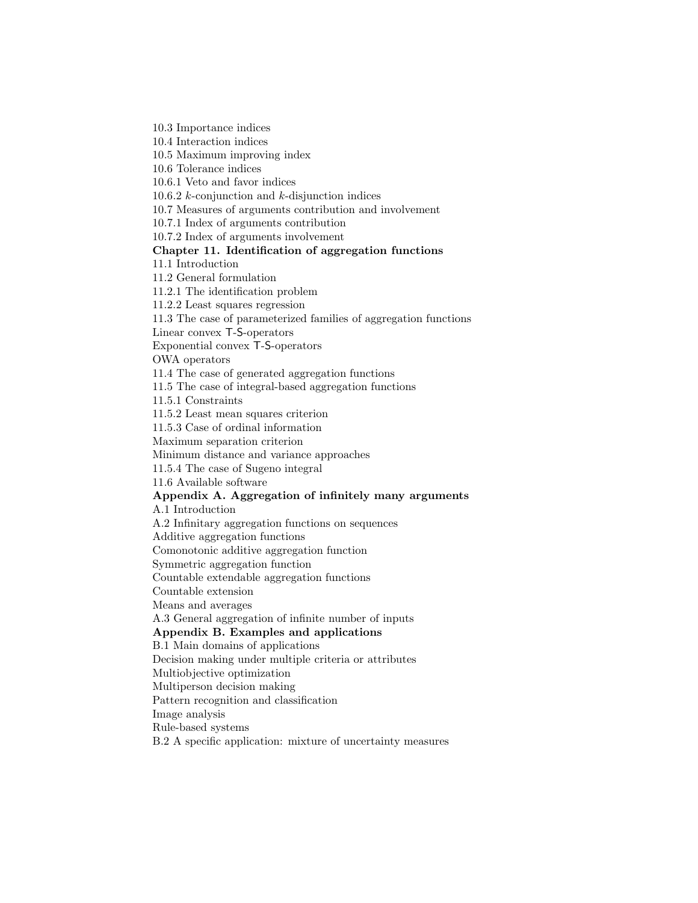10.3 Importance indices

10.4 Interaction indices

10.5 Maximum improving index

10.6 Tolerance indices

10.6.1 Veto and favor indices

10.6.2  $k$ -conjunction and  $k$ -disjunction indices

10.7 Measures of arguments contribution and involvement

10.7.1 Index of arguments contribution

10.7.2 Index of arguments involvement

#### **Chapter 11. Identification of aggregation functions**

11.1 Introduction

11.2 General formulation

11.2.1 The identification problem

11.2.2 Least squares regression

11.3 The case of parameterized families of aggregation functions

Linear convex T-S-operators

Exponential convex T-S-operators

OWA operators

11.4 The case of generated aggregation functions

11.5 The case of integral-based aggregation functions

11.5.1 Constraints

11.5.2 Least mean squares criterion

11.5.3 Case of ordinal information

Maximum separation criterion

Minimum distance and variance approaches

11.5.4 The case of Sugeno integral

11.6 Available software

### **Appendix A. Aggregation of infinitely many arguments**

A.1 Introduction

A.2 Infinitary aggregation functions on sequences

Additive aggregation functions

Comonotonic additive aggregation function

Symmetric aggregation function

Countable extendable aggregation functions

Countable extension

Means and averages

A.3 General aggregation of infinite number of inputs

### **Appendix B. Examples and applications**

B.1 Main domains of applications

Decision making under multiple criteria or attributes

Multiobjective optimization

Multiperson decision making

Pattern recognition and classification

Image analysis

Rule-based systems

B.2 A specific application: mixture of uncertainty measures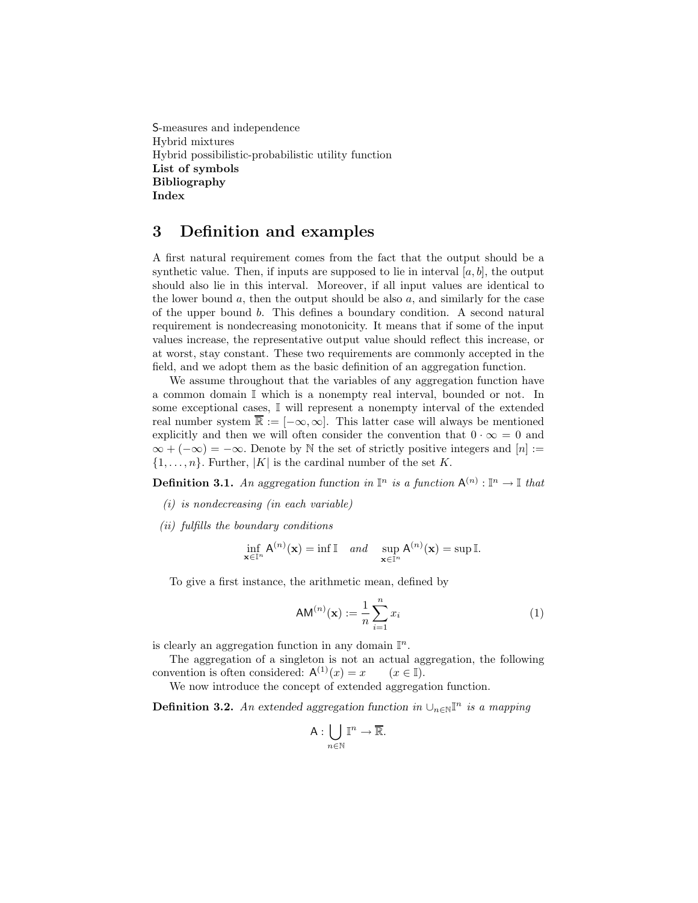S-measures and independence Hybrid mixtures Hybrid possibilistic-probabilistic utility function **List of symbols Bibliography Index**

# **3 Definition and examples**

A first natural requirement comes from the fact that the output should be a synthetic value. Then, if inputs are supposed to lie in interval  $[a, b]$ , the output should also lie in this interval. Moreover, if all input values are identical to the lower bound  $a$ , then the output should be also  $a$ , and similarly for the case of the upper bound  $b$ . This defines a boundary condition. A second natural requirement is nondecreasing monotonicity. It means that if some of the input values increase, the representative output value should reflect this increase, or at worst, stay constant. These two requirements are commonly accepted in the field, and we adopt them as the basic definition of an aggregation function.

We assume throughout that the variables of any aggregation function have a common domain I which is a nonempty real interval, bounded or not. In some exceptional cases,  $\mathbb I$  will represent a nonempty interval of the extended real number system  $\mathbb{\bar{R}} := [-\infty, \infty]$ . This latter case will always be mentioned explicitly and then we will often consider the convention that  $0 \cdot \infty = 0$  and  $\infty + (-\infty) = -\infty$ . Denote by N the set of strictly positive integers and [n] :=  $\{1,\ldots,n\}$ . Further,  $|K|$  is the cardinal number of the set K.

**Definition 3.1.** An aggregation function in  $\mathbb{I}^n$  is a function  $A^{(n)} : \mathbb{I}^n \to \mathbb{I}$  that

- *(i) is nondecreasing (in each variable)*
- *(ii) fulfills the boundary conditions*

$$
\inf_{\mathbf{x}\in\mathbb{I}^n} A^{(n)}(\mathbf{x}) = \inf \mathbb{I} \quad and \quad \sup_{\mathbf{x}\in\mathbb{I}^n} A^{(n)}(\mathbf{x}) = \sup \mathbb{I}.
$$

To give a first instance, the arithmetic mean, defined by

$$
AM^{(n)}(\mathbf{x}) := \frac{1}{n} \sum_{i=1}^{n} x_i
$$
 (1)

is clearly an aggregation function in any domain  $\mathbb{I}^n$ .

The aggregation of a singleton is not an actual aggregation, the following convention is often considered:  $A^{(1)}(x) = x$  ( $x \in \mathbb{I}$ ).

We now introduce the concept of extended aggregation function.

**Definition 3.2.** *An* extended aggregation function in  $\cup_{n\in\mathbb{N}}\mathbb{I}^n$  is a mapping

$$
\mathsf{A}:\bigcup_{n\in\mathbb{N}}\mathbb{I}^n\to\overline{\mathbb{R}}.
$$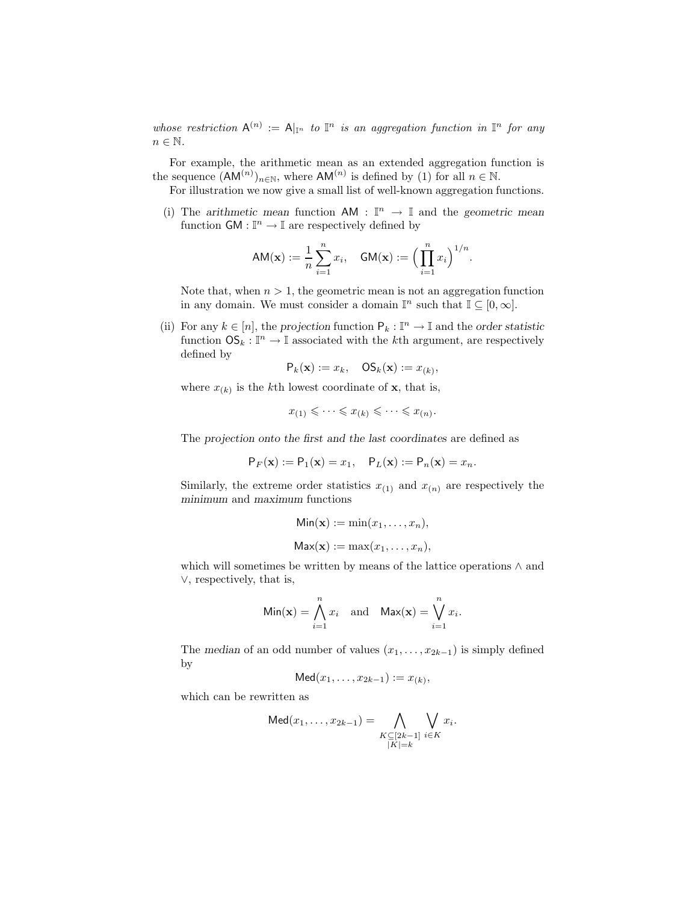*whose restriction*  $A^{(n)} := A|_{\mathbb{I}^n}$  *to*  $\mathbb{I}^n$  *is an aggregation function in*  $\mathbb{I}^n$  *for any*  $n \in \mathbb{N}$ .

For example, the arithmetic mean as an extended aggregation function is the sequence  $(AM^{(n)})_{n\in\mathbb{N}}$ , where  $AM^{(n)}$  is defined by (1) for all  $n \in \mathbb{N}$ .

For illustration we now give a small list of well-known aggregation functions.

(i) The *arithmetic mean* function  $AM : \mathbb{I}^n \to \mathbb{I}$  and the *geometric mean* function  $GM : \mathbb{I}^n \to \mathbb{I}$  are respectively defined by

$$
AM(\mathbf{x}) := \frac{1}{n} \sum_{i=1}^{n} x_i, \quad GM(\mathbf{x}) := \Big(\prod_{i=1}^{n} x_i\Big)^{1/n}.
$$

Note that, when  $n > 1$ , the geometric mean is not an aggregation function in any domain. We must consider a domain  $\mathbb{I}^n$  such that  $\mathbb{I} \subseteq [0,\infty]$ .

(ii) For any  $k \in [n]$ , the *projection* function  $P_k : \mathbb{I}^n \to \mathbb{I}$  and the *order statistic* function  $\mathsf{OS}_k : \mathbb{I}^n \to \mathbb{I}$  associated with the kth argument, are respectively defined by

$$
\mathsf{P}_k(\mathbf{x}) := x_k, \quad \mathsf{OS}_k(\mathbf{x}) := x_{(k)},
$$

where  $x_{(k)}$  is the k<sup>th</sup> lowest coordinate of **x**, that is,

$$
x_{(1)} \leqslant \cdots \leqslant x_{(k)} \leqslant \cdots \leqslant x_{(n)}.
$$

The *projection onto the first and the last coordinates* are defined as

$$
P_F(\mathbf{x}) := P_1(\mathbf{x}) = x_1, \quad P_L(\mathbf{x}) := P_n(\mathbf{x}) = x_n.
$$

Similarly, the extreme order statistics  $x_{(1)}$  and  $x_{(n)}$  are respectively the *minimum* and *maximum* functions

$$
Min(\mathbf{x}) := min(x_1, \dots, x_n),
$$

$$
Max(\mathbf{x}) := max(x_1, \dots, x_n),
$$

which will sometimes be written by means of the lattice operations ∧ and ∨, respectively, that is,

$$
\text{Min}(\mathbf{x}) = \bigwedge_{i=1}^{n} x_i \quad \text{and} \quad \text{Max}(\mathbf{x}) = \bigvee_{i=1}^{n} x_i.
$$

The *median* of an odd number of values  $(x_1, \ldots, x_{2k-1})$  is simply defined by

$$
\mathsf{Med}(x_1,\ldots,x_{2k-1}) := x_{(k)},
$$

which can be rewritten as

$$
Med(x_1, ..., x_{2k-1}) = \bigwedge_{\substack{K \subseteq [2k-1] \\ |K| = k}} \bigvee_{i \in K} x_i.
$$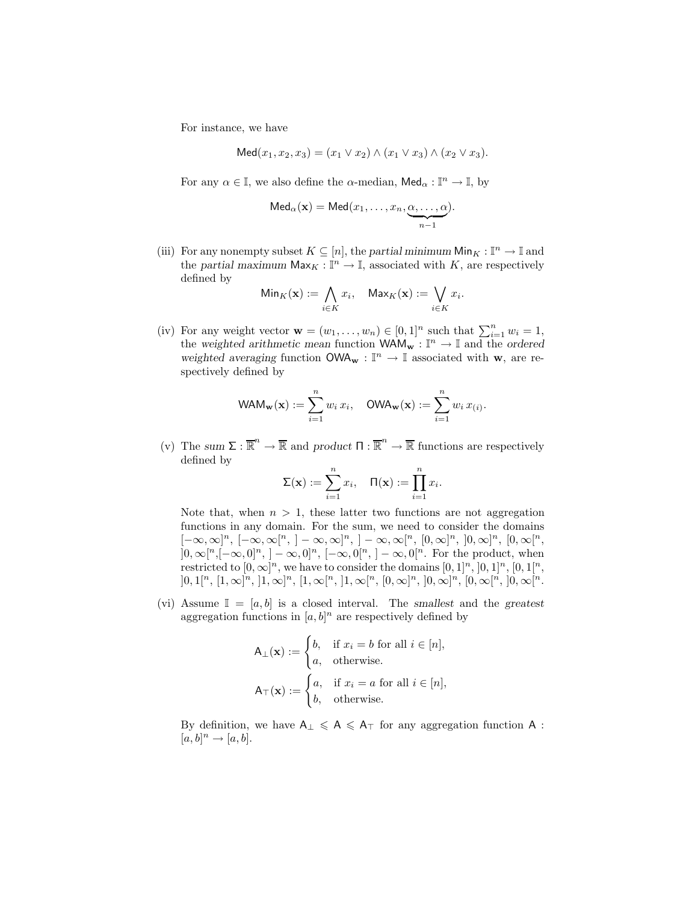For instance, we have

$$
Med(x_1, x_2, x_3) = (x_1 \vee x_2) \wedge (x_1 \vee x_3) \wedge (x_2 \vee x_3).
$$

For any  $\alpha \in \mathbb{I}$ , we also define the  $\alpha$ -median,  $\mathsf{Med}_{\alpha} : \mathbb{I}^n \to \mathbb{I}$ , by

$$
Med_{\alpha}(\mathbf{x}) = Med(x_1, ..., x_n, \underbrace{\alpha, ..., \alpha}_{n-1}).
$$

(iii) For any nonempty subset  $K \subseteq [n]$ , the *partial minimum*  $\mathsf{Min}_K : \mathbb{I}^n \to \mathbb{I}$  and the *partial maximum*  $\mathsf{Max}_K : \mathbb{I}^n \to \mathbb{I}$ , associated with K, are respectively defined by

$$
\mathsf{Min}_K(\mathbf{x}) := \bigwedge_{i \in K} x_i, \quad \mathsf{Max}_K(\mathbf{x}) := \bigvee_{i \in K} x_i.
$$

(iv) For any weight vector  $\mathbf{w} = (w_1, \dots, w_n) \in [0, 1]^n$  such that  $\sum_{i=1}^n w_i = 1$ , the weighted arithmetic mean function  $\mathsf{WAM}_w : \mathbb{I}^n \to \mathbb{I}$  and the ordered *weighted averaging* function  $\mathsf{OWA}_{\mathbf{w}}$  :  $\mathbb{I}^n$   $\rightarrow$   $\mathbb{I}$  associated with  $\mathbf{w},$  are respectively defined by

$$
\mathsf{WAM}_{\mathbf{w}}(\mathbf{x}) := \sum_{i=1}^n w_i \, x_i, \quad \mathsf{OWA}_{\mathbf{w}}(\mathbf{x}) := \sum_{i=1}^n w_i \, x_{(i)}.
$$

(v) The sum  $\Sigma : \overline{\mathbb{R}}^n \to \overline{\mathbb{R}}$  and product  $\Pi : \overline{\mathbb{R}}^n \to \overline{\mathbb{R}}$  functions are respectively defined by

$$
\Sigma(\mathbf{x}) := \sum_{i=1}^n x_i, \quad \Pi(\mathbf{x}) := \prod_{i=1}^n x_i.
$$

Note that, when  $n > 1$ , these latter two functions are not aggregation functions in any domain. For the sum, we need to consider the domains  $[-\infty,\infty]^n$ ,  $[-\infty,\infty[^n,]-\infty,\infty]^n$ ,  $]-\infty,\infty[^n, [0,\infty]^n, [0,\infty]^n, [0,\infty]^n$  $[0, \infty[^n, [-\infty, 0]^n, ]-\infty, 0]^n, [-\infty, 0]^n, ]-\infty, 0]^n$ . For the product, when restricted to  $[0, \infty]^n$ , we have to consider the domains  $[0, 1]^n$ ,  $[0, 1]^n$ ,  $[0, 1]^n$ ,  $]0,1[^n,[1,\infty]^n,[1,\infty]^n,[1,\infty[^n,[1,\infty[^n,[0,\infty]^n,[0,\infty[^n,[0,\infty[^n.$ 

(vi) Assume  $\mathbb{I} = [a, b]$  is a closed interval. The *smallest* and the *greatest* aggregation functions in  $[a, b]^n$  are respectively defined by

$$
A_{\perp}(\mathbf{x}) := \begin{cases} b, & \text{if } x_i = b \text{ for all } i \in [n], \\ a, & \text{otherwise.} \end{cases}
$$

$$
A_{\top}(\mathbf{x}) := \begin{cases} a, & \text{if } x_i = a \text{ for all } i \in [n], \\ b, & \text{otherwise.} \end{cases}
$$

By definition, we have  $A_{\perp} \leq A \leq A_{\top}$  for any aggregation function A :  $[a, b]^n \rightarrow [a, b].$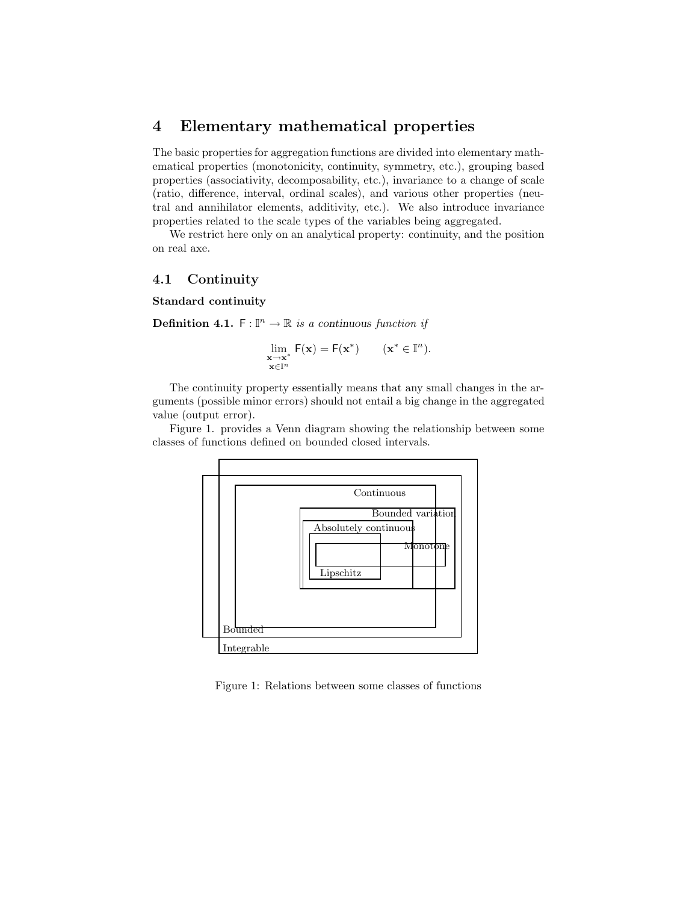### **4 Elementary mathematical properties**

The basic properties for aggregation functions are divided into elementary mathematical properties (monotonicity, continuity, symmetry, etc.), grouping based properties (associativity, decomposability, etc.), invariance to a change of scale (ratio, difference, interval, ordinal scales), and various other properties (neutral and annihilator elements, additivity, etc.). We also introduce invariance properties related to the scale types of the variables being aggregated.

We restrict here only on an analytical property: continuity, and the position on real axe.

#### **4.1 Continuity**

**Standard continuity**

**Definition 4.1.**  $F: \mathbb{I}^n \to \mathbb{R}$  *is a continuous function if* 

$$
\lim_{\substack{{\mathbf{x}}\to{\mathbf{x}}^*\\ {\mathbf{x}}\in\mathbb I^n}}\mathsf F({\mathbf{x}})=\mathsf F({\mathbf{x}}^*)\qquad({\mathbf{x}}^*\in\mathbb I^n).
$$

The continuity property essentially means that any small changes in the arguments (possible minor errors) should not entail a big change in the aggregated value (output error).

Figure 1. provides a Venn diagram showing the relationship between some classes of functions defined on bounded closed intervals.



Figure 1: Relations between some classes of functions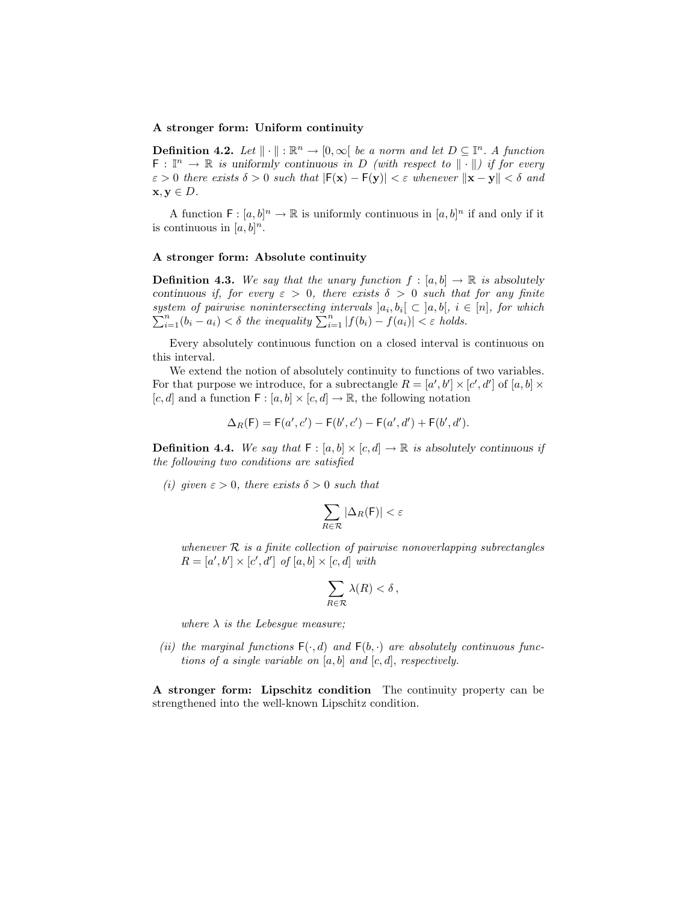#### **A stronger form: Uniform continuity**

**Definition 4.2.** *Let*  $\|\cdot\|$  :  $\mathbb{R}^n \to [0, \infty]$  *be a norm and let*  $D \subseteq \mathbb{I}^n$ . *A function*  $\mathsf{F}: \mathbb{I}^n \to \mathbb{R}$  *is uniformly continuous in* D *(with respect to*  $\|\cdot\|$ *) if for every*  $\varepsilon > 0$  *there exists*  $\delta > 0$  *such that*  $|F(\mathbf{x}) - F(\mathbf{y})| < \varepsilon$  *whenever*  $\|\mathbf{x} - \mathbf{y}\| < \delta$  *and*  $\mathbf{x}, \mathbf{y} \in D$ .

A function  $F : [a, b]^n \to \mathbb{R}$  is uniformly continuous in  $[a, b]^n$  if and only if it is continuous in  $[a, b]^n$ .

#### **A stronger form: Absolute continuity**

**Definition 4.3.** We say that the unary function  $f : [a, b] \rightarrow \mathbb{R}$  is absolutely *continuous if, for every*  $\varepsilon > 0$ *, there exists*  $\delta > 0$  *such that for any finite*  $system of pairwise nonintersecting intervals  $]a_i, b_i$$ system of pairwise nonintersecting intervals  $[a_i, b_i] \subset [a, b], i \in [n]$ , for which  $\sum_{i=1}^{n} (b_i - a_i) < \delta$  the inequality  $\sum_{i=1}^{n} |f(b_i) - f(a_i)| < \varepsilon$  holds.  $\sum_{i=1}^{n} (b_i - a_i) < \delta$  the inequality  $\sum_{i=1}^{n} |f(b_i) - f(a_i)| < \varepsilon$  holds.

Every absolutely continuous function on a closed interval is continuous on this interval.

We extend the notion of absolutely continuity to functions of two variables. For that purpose we introduce, for a subrectangle  $R = [a', b'] \times [c', d']$  of  $[a, b] \times$  $[c, d]$  and a function  $\mathsf{F} : [a, b] \times [c, d] \to \mathbb{R}$ , the following notation

$$
\Delta_R(F) = F(a', c') - F(b', c') - F(a', d') + F(b', d').
$$

**Definition 4.4.** We say that  $F : [a, b] \times [c, d] \rightarrow \mathbb{R}$  is absolutely continuous if *the following two conditions are satisfied*

*(i)* given  $\varepsilon > 0$ , there exists  $\delta > 0$  such that

$$
\sum_{R\in\mathcal{R}}|\Delta_R(\mathsf{F})|<\varepsilon
$$

*whenever* R *is a finite collection of pairwise nonoverlapping subrectangles*  $R = [a', b'] \times [c', d']$  of  $[a, b] \times [c, d]$  with

$$
\sum_{R\in\mathcal{R}}\lambda(R)<\delta\,,
$$

*where*  $\lambda$  *is the Lebesque measure;* 

(*ii*) the marginal functions  $F(\cdot, d)$  and  $F(b, \cdot)$  are absolutely continuous func*tions of a single variable on* [a, b] *and* [c, d], *respectively.*

**A stronger form: Lipschitz condition** The continuity property can be strengthened into the well-known Lipschitz condition.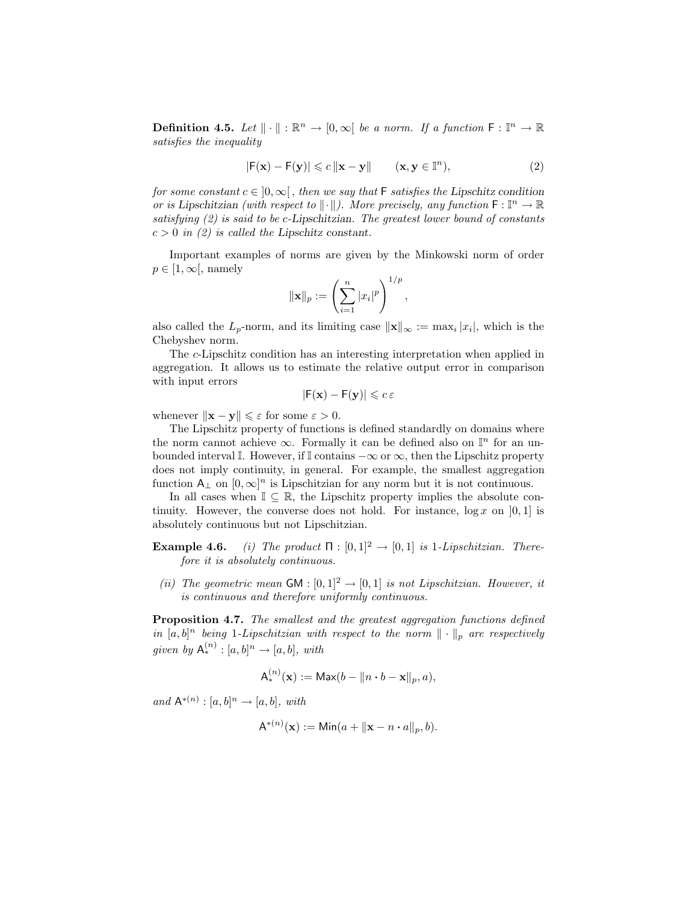**Definition 4.5.** *Let*  $\|\cdot\|$  :  $\mathbb{R}^n \to [0,\infty]$  *be a norm. If a function*  $\mathsf{F} : \mathbb{I}^n \to \mathbb{R}$ *satisfies the inequality*

$$
|\mathsf{F}(\mathbf{x}) - \mathsf{F}(\mathbf{y})| \leqslant c \|\mathbf{x} - \mathbf{y}\| \qquad (\mathbf{x}, \mathbf{y} \in \mathbb{I}^n), \tag{2}
$$

*for some constant*  $c \in [0, \infty)$ , *then we say that* **F** *satisfies the Lipschitz condition or is Lipschitzian (with respect to*  $\|\cdot\|$ ). More precisely, any function  $\mathsf{F} : \mathbb{I}^n \to \mathbb{R}$ *satisfying (2) is said to be* c*-Lipschitzian. The greatest lower bound of constants*  $c > 0$  *in (2) is called the Lipschitz constant.* 

Important examples of norms are given by the Minkowski norm of order  $p \in [1,\infty]$ , namely

$$
\|\mathbf{x}\|_{p} := \left(\sum_{i=1}^{n} |x_i|^p\right)^{1/p},\,
$$

also called the  $L_p$ -norm, and its limiting case  $\|\mathbf{x}\|_{\infty} := \max_i |x_i|$ , which is the Chebyshev norm.

The c-Lipschitz condition has an interesting interpretation when applied in aggregation. It allows us to estimate the relative output error in comparison with input errors

$$
|\mathsf{F}(\mathbf{x}) - \mathsf{F}(\mathbf{y})| \leqslant c \, \varepsilon
$$

whenever  $\|\mathbf{x} - \mathbf{y}\| \leq \varepsilon$  for some  $\varepsilon > 0$ .

The Lipschitz property of functions is defined standardly on domains where the norm cannot achieve  $\infty$ . Formally it can be defined also on  $\mathbb{I}^n$  for an unbounded interval I. However, if I contains  $-\infty$  or  $\infty$ , then the Lipschitz property does not imply continuity, in general. For example, the smallest aggregation function  $A_{\perp}$  on  $[0,\infty]^n$  is Lipschitzian for any norm but it is not continuous.

In all cases when  $\mathbb{I} \subseteq \mathbb{R}$ , the Lipschitz property implies the absolute continuity. However, the converse does not hold. For instance,  $\log x$  on [0, 1] is absolutely continuous but not Lipschitzian.

- **Example 4.6.** *(i)* The product  $\Pi : [0,1]^2 \rightarrow [0,1]$  *is* 1-Lipschitzian. There*fore it is absolutely continuous.*
- *(ii) The geometric mean*  $GM : [0, 1]^2 \rightarrow [0, 1]$  *is not Lipschitzian. However, it is continuous and therefore uniformly continuous.*

**Proposition 4.7.** *The smallest and the greatest aggregation functions defined* in  $[a, b]^n$  being 1-Lipschitzian with respect to the norm  $\|\cdot\|_p$  are respectively *given by*  $A_*^{(n)}$ : [a, b]<sup>n</sup> → [a, b], with

$$
\mathsf{A}^{(n)}_*(\mathbf{x}) := \mathsf{Max}(b - \|n \cdot b - \mathbf{x}\|_p, a),
$$

 $and \mathsf{A}^{*(n)} : [a, b]^n \rightarrow [a, b], with$ 

$$
A^{*(n)}(\mathbf{x}) := \mathsf{Min}(a + \|\mathbf{x} - n \cdot a\|_p, b).
$$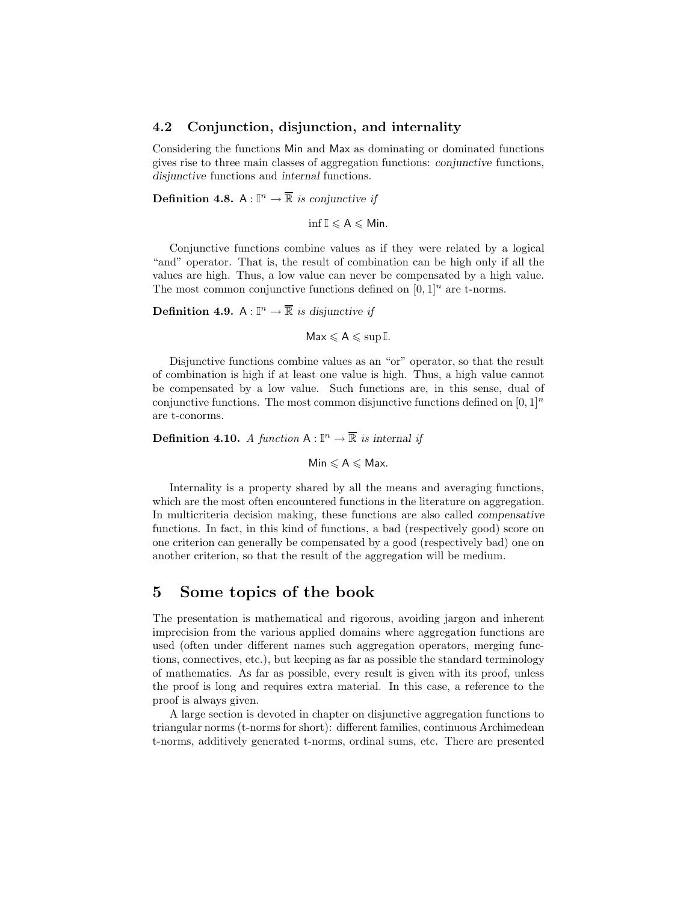#### **4.2 Conjunction, disjunction, and internality**

Considering the functions Min and Max as dominating or dominated functions gives rise to three main classes of aggregation functions: *conjunctive* functions, *disjunctive* functions and *internal* functions.

**Definition 4.8.** A :  $\mathbb{I}^n \to \overline{\mathbb{R}}$  *is conjunctive if* 

 $\inf \mathbb{I} \leqslant A \leqslant M$ in.

Conjunctive functions combine values as if they were related by a logical "and" operator. That is, the result of combination can be high only if all the values are high. Thus, a low value can never be compensated by a high value. The most common conjunctive functions defined on  $[0, 1]$ <sup>n</sup> are t-norms.

**Definition 4.9.** A :  $\mathbb{I}^n \to \overline{\mathbb{R}}$  *is disjunctive if* 

 $\mathsf{Max} \leqslant \mathsf{A} \leqslant \sup \mathbb{I}.$ 

Disjunctive functions combine values as an "or" operator, so that the result of combination is high if at least one value is high. Thus, a high value cannot be compensated by a low value. Such functions are, in this sense, dual of conjunctive functions. The most common disjunctive functions defined on  $[0, 1]^n$ are t-conorms.

**Definition 4.10.** *A function*  $A: \mathbb{I}^n \to \mathbb{R}$  *is internal if* 

 $Min \leqslant A \leqslant Max$ .

Internality is a property shared by all the means and averaging functions, which are the most often encountered functions in the literature on aggregation. In multicriteria decision making, these functions are also called *compensative* functions. In fact, in this kind of functions, a bad (respectively good) score on one criterion can generally be compensated by a good (respectively bad) one on another criterion, so that the result of the aggregation will be medium.

### **5 Some topics of the book**

The presentation is mathematical and rigorous, avoiding jargon and inherent imprecision from the various applied domains where aggregation functions are used (often under different names such aggregation operators, merging functions, connectives, etc.), but keeping as far as possible the standard terminology of mathematics. As far as possible, every result is given with its proof, unless the proof is long and requires extra material. In this case, a reference to the proof is always given.

A large section is devoted in chapter on disjunctive aggregation functions to triangular norms (t-norms for short): different families, continuous Archimedean t-norms, additively generated t-norms, ordinal sums, etc. There are presented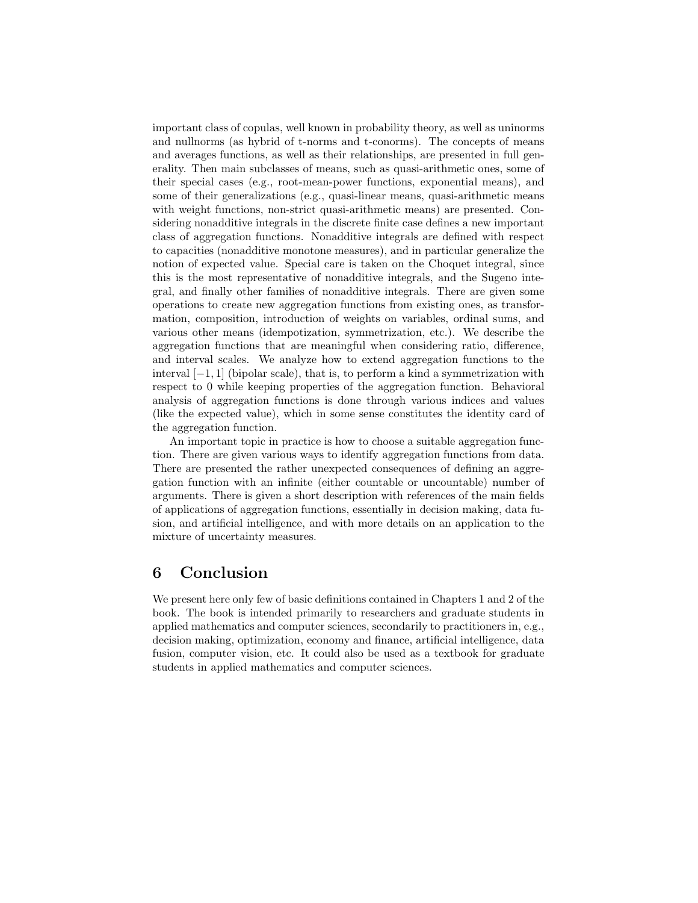important class of copulas, well known in probability theory, as well as uninorms and nullnorms (as hybrid of t-norms and t-conorms). The concepts of means and averages functions, as well as their relationships, are presented in full generality. Then main subclasses of means, such as quasi-arithmetic ones, some of their special cases (e.g., root-mean-power functions, exponential means), and some of their generalizations (e.g., quasi-linear means, quasi-arithmetic means with weight functions, non-strict quasi-arithmetic means) are presented. Considering nonadditive integrals in the discrete finite case defines a new important class of aggregation functions. Nonadditive integrals are defined with respect to capacities (nonadditive monotone measures), and in particular generalize the notion of expected value. Special care is taken on the Choquet integral, since this is the most representative of nonadditive integrals, and the Sugeno integral, and finally other families of nonadditive integrals. There are given some operations to create new aggregation functions from existing ones, as transformation, composition, introduction of weights on variables, ordinal sums, and various other means (idempotization, symmetrization, etc.). We describe the aggregation functions that are meaningful when considering ratio, difference, and interval scales. We analyze how to extend aggregation functions to the interval  $[-1, 1]$  (bipolar scale), that is, to perform a kind a symmetrization with respect to 0 while keeping properties of the aggregation function. Behavioral analysis of aggregation functions is done through various indices and values (like the expected value), which in some sense constitutes the identity card of the aggregation function.

An important topic in practice is how to choose a suitable aggregation function. There are given various ways to identify aggregation functions from data. There are presented the rather unexpected consequences of defining an aggregation function with an infinite (either countable or uncountable) number of arguments. There is given a short description with references of the main fields of applications of aggregation functions, essentially in decision making, data fusion, and artificial intelligence, and with more details on an application to the mixture of uncertainty measures.

# **6 Conclusion**

We present here only few of basic definitions contained in Chapters 1 and 2 of the book. The book is intended primarily to researchers and graduate students in applied mathematics and computer sciences, secondarily to practitioners in, e.g., decision making, optimization, economy and finance, artificial intelligence, data fusion, computer vision, etc. It could also be used as a textbook for graduate students in applied mathematics and computer sciences.